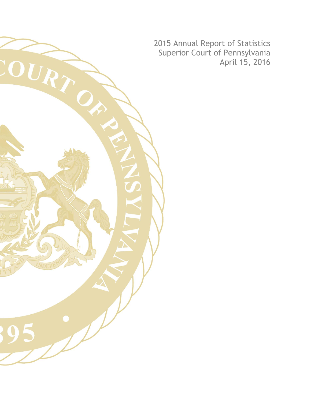2015 Annual Report of Statistics Superior Court of Pennsylvania April 15, 2016

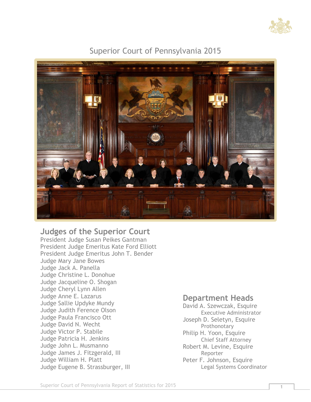

### Superior Court of Pennsylvania 2015



#### **Judges of the Superior Court**

President Judge Susan Peikes Gantman President Judge Emeritus Kate Ford Elliott President Judge Emeritus John T. Bender Judge Mary Jane Bowes Judge Jack A. Panella Judge Christine L. Donohue Judge Jacqueline O. Shogan Judge Cheryl Lynn Allen Judge Anne E. Lazarus Judge Sallie Updyke Mundy Judge Judith Ference Olson Judge Paula Francisco Ott Judge David N. Wecht Judge Victor P. Stabile Judge Patricia H. Jenkins Judge John L. Musmanno Judge James J. Fitzgerald, III Judge William H. Platt Judge Eugene B. Strassburger, III

#### **Department Heads**

David A. Szewczak, Esquire Executive Administrator Joseph D. Seletyn, Esquire Prothonotary Philip H. Yoon, Esquire Chief Staff Attorney Robert M. Levine, Esquire Reporter Peter F. Johnson, Esquire Legal Systems Coordinator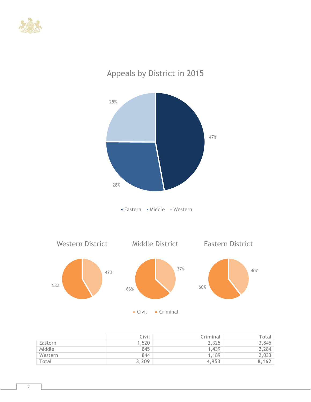



# Appeals by District in 2015

|         | Civil | Criminal | Total |
|---------|-------|----------|-------|
| Eastern | 1,520 | 2,325    | 3,845 |
| Middle  | 845   | 1,439    | 2,284 |
| Western | 844   | 1,189    | 2,033 |
| Total   | 3,209 | 4,953    | 8,162 |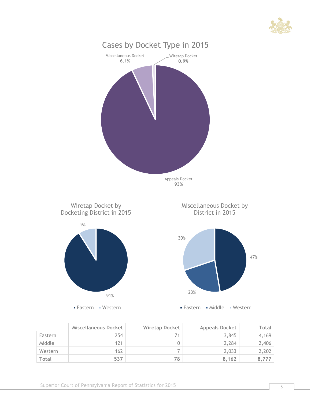



|              | Miscellaneous Docket | <b>Wiretap Docket</b> | <b>Appeals Docket</b> | Total |
|--------------|----------------------|-----------------------|-----------------------|-------|
| Eastern      | 254                  |                       | 3,845                 | 4,169 |
| Middle       | 121                  |                       | 2.284                 | 2,406 |
| Western      | 162                  |                       | 2,033                 | 2,202 |
| <b>Total</b> | 537                  | 78                    | 8.162                 | 8,777 |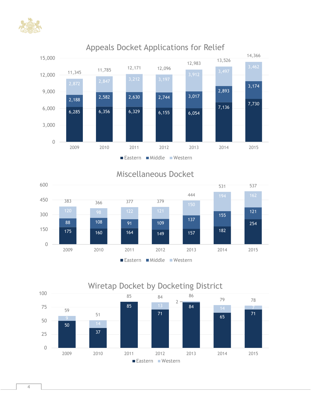![](_page_4_Picture_0.jpeg)

![](_page_4_Figure_1.jpeg)

## Appeals Docket Applications for Relief

## Miscellaneous Docket

![](_page_4_Figure_4.jpeg)

![](_page_4_Figure_5.jpeg)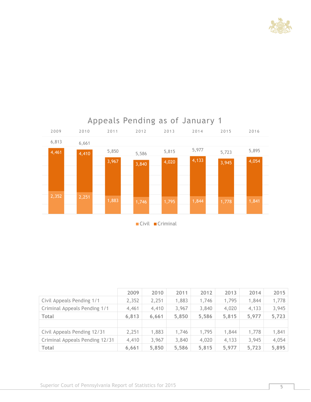![](_page_5_Picture_0.jpeg)

![](_page_5_Figure_1.jpeg)

|                                | 2009  | 2010  | 2011  | 2012  | 2013  | 2014  | 2015  |
|--------------------------------|-------|-------|-------|-------|-------|-------|-------|
| Civil Appeals Pending 1/1      | 2,352 | 2,251 | 1,883 | 1,746 | 1,795 | 1,844 | 1,778 |
| Criminal Appeals Pending 1/1   | 4,461 | 4,410 | 3,967 | 3,840 | 4,020 | 4,133 | 3,945 |
| <b>Total</b>                   | 6,813 | 6.661 | 5,850 | 5,586 | 5,815 | 5,977 | 5,723 |
|                                |       |       |       |       |       |       |       |
| Civil Appeals Pending 12/31    | 2,251 | 1,883 | 1,746 | 1,795 | 1,844 | 1,778 | 1,841 |
| Criminal Appeals Pending 12/31 | 4,410 | 3,967 | 3,840 | 4,020 | 4,133 | 3,945 | 4,054 |
| <b>Total</b>                   | 6,661 | 5,850 | 5,586 | 5,815 | 5,977 | 5,723 | 5,895 |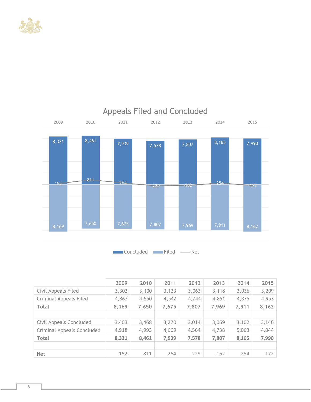![](_page_6_Picture_0.jpeg)

![](_page_6_Figure_1.jpeg)

Concluded Filed - Net

|                               | 2009  | 2010  | 2011  | 2012   | 2013   | 2014  | 2015   |
|-------------------------------|-------|-------|-------|--------|--------|-------|--------|
| Civil Appeals Filed           | 3,302 | 3,100 | 3,133 | 3,063  | 3,118  | 3,036 | 3,209  |
| <b>Criminal Appeals Filed</b> | 4,867 | 4,550 | 4,542 | 4,744  | 4,851  | 4,875 | 4,953  |
| <b>Total</b>                  | 8,169 | 7,650 | 7,675 | 7,807  | 7,969  | 7,911 | 8,162  |
|                               |       |       |       |        |        |       |        |
| Civil Appeals Concluded       | 3,403 | 3,468 | 3,270 | 3,014  | 3,069  | 3,102 | 3,146  |
| Criminal Appeals Concluded    | 4,918 | 4,993 | 4,669 | 4,564  | 4,738  | 5,063 | 4,844  |
| <b>Total</b>                  | 8,321 | 8,461 | 7,939 | 7,578  | 7,807  | 8,165 | 7,990  |
|                               |       |       |       |        |        |       |        |
| <b>Net</b>                    | 152   | 811   | 264   | $-229$ | $-162$ | 254   | $-172$ |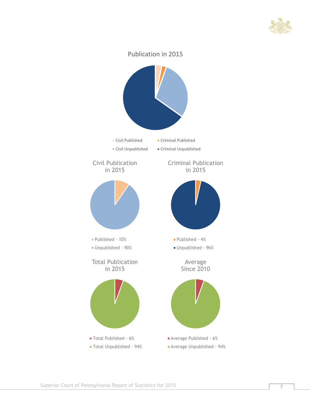![](_page_7_Picture_0.jpeg)

![](_page_7_Figure_1.jpeg)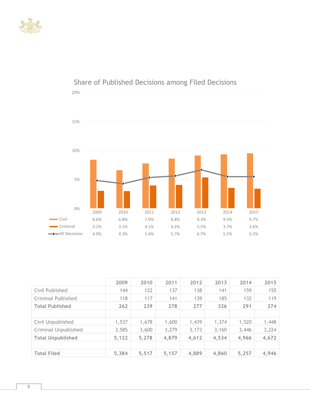![](_page_8_Picture_0.jpeg)

![](_page_8_Figure_1.jpeg)

## Share of Published Decisions among Filed Decisions

|                           | 2009  | 2010  | 2011  | 2012  | 2013  | 2014  | 2015  |
|---------------------------|-------|-------|-------|-------|-------|-------|-------|
| Civil Published           | 144   | 122   | 137   | 138   | 141   | 159   | 155   |
| <b>Criminal Published</b> | 118   | 117   | 141   | 139   | 185   | 132   | 119   |
| <b>Total Published</b>    | 262   | 239   | 278   | 277   | 326   | 291   | 274   |
|                           |       |       |       |       |       |       |       |
| Civil Unpublished         | 1,537 | 1,678 | 1,600 | 1,439 | 1,374 | 1,520 | 1,448 |
| Criminal Unpublished      | 3,585 | 3,600 | 3,279 | 3,173 | 3,160 | 3,446 | 3,224 |
| <b>Total Unpublished</b>  | 5,122 | 5,278 | 4,879 | 4,612 | 4,534 | 4,966 | 4,672 |
|                           |       |       |       |       |       |       |       |
| <b>Total Filed</b>        | 5,384 | 5,517 | 5,157 | 4,889 | 4,860 | 5,257 | 4,946 |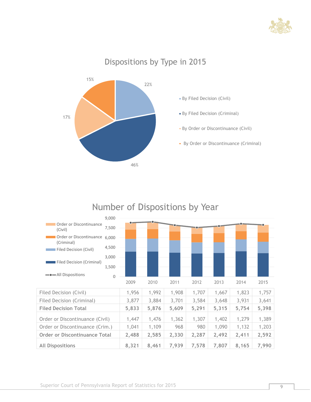![](_page_9_Picture_0.jpeg)

# Dispositions by Type in 2015

![](_page_9_Figure_2.jpeg)

# Number of Dispositions by Year

![](_page_9_Figure_4.jpeg)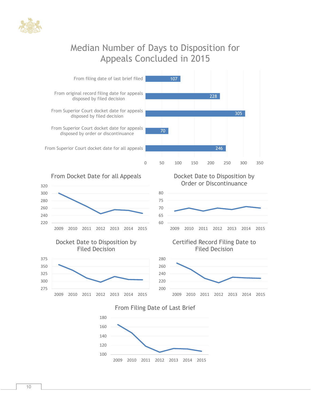![](_page_10_Picture_0.jpeg)

# Median Number of Days to Disposition for Appeals Concluded in 2015

![](_page_10_Figure_2.jpeg)

From Docket Date for all Appeals

![](_page_10_Figure_4.jpeg)

#### Docket Date to Disposition by Filed Decision

![](_page_10_Figure_6.jpeg)

Docket Date to Disposition by Order or Discontinuance

![](_page_10_Figure_8.jpeg)

#### Certified Record Filing Date to Filed Decision

![](_page_10_Figure_10.jpeg)

#### From Filing Date of Last Brief

![](_page_10_Figure_12.jpeg)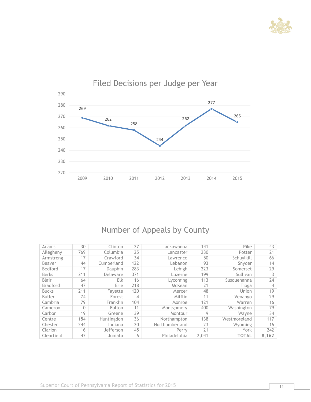![](_page_11_Picture_0.jpeg)

![](_page_11_Figure_1.jpeg)

# Filed Decisions per Judge per Year

# Number of Appeals by County

| Adams           | 30       | Clinton        | 27  | Lackawanna     | 141   | Pike         | 43    |
|-----------------|----------|----------------|-----|----------------|-------|--------------|-------|
| Allegheny       | 769      | Columbia       | 25  | Lancaster      | 230   | Potter       | 21    |
| Armstrong       | 17       | Crawford       | 34  | Lawrence       | 50    | Schuylkill   | 66    |
| Beaver          | 44       | Cumberland     | 122 | Lebanon        | 93    | Snyder       | 14    |
| Bedford         | 17       | <b>Dauphin</b> | 283 | Lehigh         | 223   | Somerset     | 29    |
| <b>Berks</b>    | 211      | Delaware       | 371 | Luzerne        | 199   | Sullivan     | 3     |
| <b>Blair</b>    | 64       | <b>Elk</b>     | 16  | Lycoming       | 113   | Susquehanna  | 24    |
| <b>Bradford</b> | 47       | Erie           | 218 | McKean         | 21    | Tioga        | 4     |
| <b>Bucks</b>    | 211      | Favette        | 120 | Mercer         | 48    | Union        | 19    |
| <b>Butler</b>   | 74       | Forest         | 4   | Mifflin        | 11    | Venango      | 29    |
| Cambria         | 79       | Franklin       | 104 | Monroe         | 121   | Warren       | 16    |
| Cameron         | $\Omega$ | Fulton         | 11  | Montgomery     | 400   | Washington   | 79    |
| Carbon          | 19       | Greene         | 39  | Montour        | 9     | Wavne        | 34    |
| Centre          | 154      | Huntingdon     | 36  | Northampton    | 138   | Westmoreland | 117   |
| Chester         | 244      | Indiana        | 20  | Northumberland | 23    | Wyoming      | 16    |
| Clarion         | 16       | Jefferson      | 45  | Perry          | 21    | York         | 242   |
| Clearfield      | 47       | Juniata        | 6   | Philadelphia   | 2.041 | <b>TOTAL</b> | 8.162 |
|                 |          |                |     |                |       |              |       |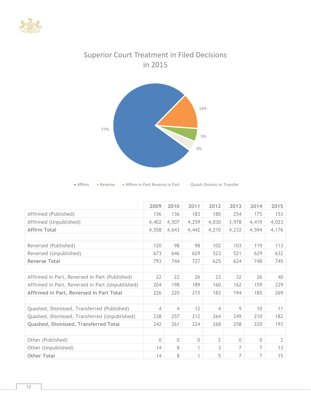![](_page_12_Picture_0.jpeg)

![](_page_12_Figure_1.jpeg)

# Superior Court Treatment in Filed Decisions in 2015

| $\blacksquare$ Affirm | • Reverse | • Affirm in Part Reverse in Part | <b>Quash Dismiss or Transfer</b> |
|-----------------------|-----------|----------------------------------|----------------------------------|
|-----------------------|-----------|----------------------------------|----------------------------------|

|                                                  | 2009     | 2010           | 2011     | 2012  | 2013     | 2014     | 2015           |
|--------------------------------------------------|----------|----------------|----------|-------|----------|----------|----------------|
| Affirmed (Published)                             | 156      | 136            | 183      | 180   | 254      | 175      | 153            |
| Affirmed (Unpublished)                           | 4,402    | 4,507          | 4,259    | 4,030 | 3,978    | 4,419    | 4,023          |
| <b>Affirm Total</b>                              | 4,558    | 4,643          | 4,442    | 4,210 | 4,232    | 4,594    | 4,176          |
|                                                  |          |                |          |       |          |          |                |
| Reversed (Published)                             | 120      | 98             | 98       | 102   | 103      | 119      | 113            |
| Reversed (Unpublished)                           | 673      | 646            | 629      | 523   | 521      | 629      | 632            |
| <b>Reverse Total</b>                             | 793      | 744            | 727      | 625   | 624      | 748      | 745            |
|                                                  |          |                |          |       |          |          |                |
| Affirmed in Part, Reversed in Part (Published)   | 22       | 22             | 26       | 23    | 32       | 26       | 40             |
| Affirmed in Part, Reversed in Part (Unpublished) | 204      | 198            | 189      | 160   | 162      | 159      | 229            |
| Affirmed in Part, Reversed in Part Total         | 226      | 220            | 215      | 183   | 194      | 185      | 269            |
|                                                  |          |                |          |       |          |          |                |
| Quashed, Dismissed, Transferred (Published)      | 4        | $\overline{4}$ | 12       | 4     | 9        | 10       | 11             |
| Quashed, Dismissed, Transferred (Unpublished)    | 238      | 257            | 212      | 264   | 249      | 210      | 182            |
| Quashed, Dismissed, Transferred Total            | 242      | 261            | 224      | 268   | 258      | 220      | 193            |
|                                                  |          |                |          |       |          |          |                |
| Other (Published)                                | $\Omega$ | $\Omega$       | $\Omega$ | 2     | $\Omega$ | $\Omega$ | $\overline{2}$ |
| Other (Unpublished)                              | 14       | 8              | 1        | 3     | 7        | 7        | 13             |
| <b>Other Total</b>                               | 14       | 8              | 1        | 5     | 7        | 7        | 15             |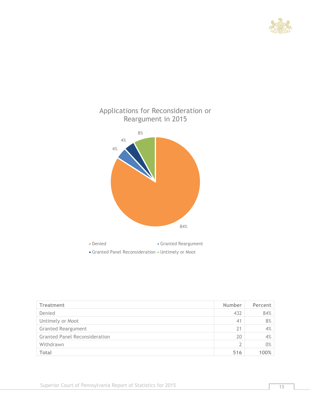![](_page_13_Picture_0.jpeg)

![](_page_13_Figure_1.jpeg)

| Treatment                            | <b>Number</b> | Percent |
|--------------------------------------|---------------|---------|
| Denied                               | 432           | 84%     |
| Untimely or Moot                     | 41            | 8%      |
| <b>Granted Reargument</b>            | 21            | 4%      |
| <b>Granted Panel Reconsideration</b> | 20            | 4%      |
| Withdrawn                            | 2             | 0%      |
| Total                                | 516           | 100%    |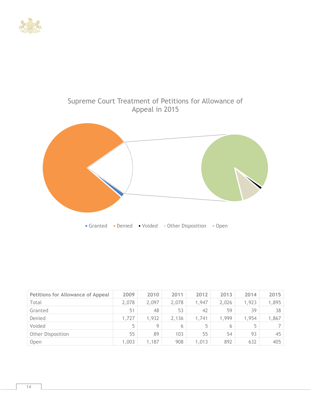![](_page_14_Picture_0.jpeg)

# Supreme Court Treatment of Petitions for Allowance of Appeal in 2015

![](_page_14_Figure_2.jpeg)

| <b>Petitions for Allowance of Appeal</b> | 2009  | 2010  | 2011  | 2012  | 2013  | 2014  | 2015  |
|------------------------------------------|-------|-------|-------|-------|-------|-------|-------|
| Total                                    | 2,078 | 2,097 | 2,078 | 1,947 | 2,026 | 1,923 | 1,895 |
| Granted                                  | 51    | 48    | 53    | 42    | 59    | 39    | 38    |
| Denied                                   | 1,727 | 1,932 | 2,136 | 1,741 | 1,999 | 1,954 | 1,867 |
| Voided                                   | 5     | 9     | 6     | 5     | 6     | 5     |       |
| <b>Other Disposition</b>                 | 55    | 89    | 103   | 55    | 54    | 93    | 45    |
| Open                                     | 1,003 | 1,187 | 908   | 1,013 | 892   | 632   | 405   |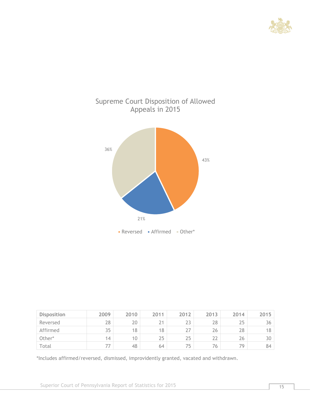![](_page_15_Picture_0.jpeg)

![](_page_15_Figure_1.jpeg)

| <b>Disposition</b> | 2009 | 2010 | 2011 | 2012 | 2013 | 2014 | 2015 |
|--------------------|------|------|------|------|------|------|------|
| Reversed           | 28   | 20   |      | 23   | 28   | 25   | 36   |
| Affirmed           | 35   | 18   | 18   | 27   | 26   | 28   | 18   |
| Other*             | 14   | 10   | 25   | 25   | 22   | 26   | 30   |
| Total              | 77   | 48   | 64   | 75   | 76   | 79   | 84   |

\*Includes affirmed/reversed, dismissed, improvidently granted, vacated and withdrawn.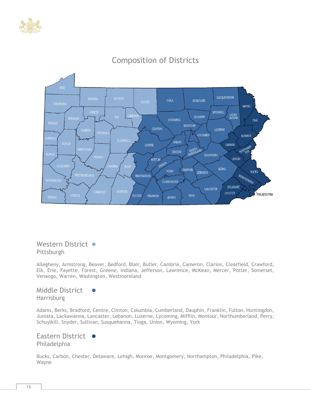![](_page_16_Picture_0.jpeg)

![](_page_16_Figure_1.jpeg)

# Composition of Districts

Western District ● Pittsburgh

Allegheny, Armstrong, Beaver, Bedford, Blair, Butler, Cambria, Cameron, Clarion, Clearfield, Crawford, Elk, Erie, Fayette, Forest, Greene, Indiana, Jefferson, Lawrence, McKean, Mercer, Potter, Somerset, Venango, Warren, Washington, Westmoreland

Middle District **Harrisburg** 

Adams, Berks, Bradford, Centre, Clinton, Columbia, Cumberland, Dauphin, Franklin, Fulton, Huntingdon, Juniata, Lackawanna, Lancaster, Lebanon, Luzerne, Lycoming, Mifflin, Montour, Northumberland, Perry, Schuylkill, Snyder, Sullivan, Susquehanna, Tioga, Union, Wyoming, York

Eastern District ● Philadelphia

Bucks, Carbon, Chester, Delaware, Lehigh, Monroe, Montgomery, Northampton, Philadelphia, Pike, Wayne